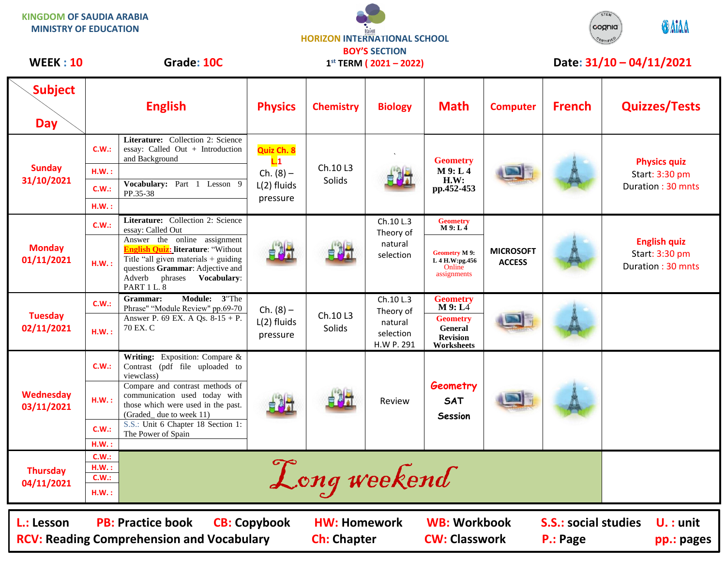| <b>KINGDOM OF SAUDIA ARABIA</b><br><b>MINISTRY OF EDUCATION</b>                                                                                                                                                                                                                       |                                  | <b>HORIZON INTERNATIONAL SCHOOL</b><br><b>BOY'S SECTION</b>                                                                                                                                                                                                                     |                                                             |                    |                                                              |                                                                                                  | <b>ONIAA</b><br>cognia            |               |                                                            |
|---------------------------------------------------------------------------------------------------------------------------------------------------------------------------------------------------------------------------------------------------------------------------------------|----------------------------------|---------------------------------------------------------------------------------------------------------------------------------------------------------------------------------------------------------------------------------------------------------------------------------|-------------------------------------------------------------|--------------------|--------------------------------------------------------------|--------------------------------------------------------------------------------------------------|-----------------------------------|---------------|------------------------------------------------------------|
| Grade: 10C<br><b>WEEK: 10</b>                                                                                                                                                                                                                                                         |                                  | $1^{st}$ TERM ( 2021 – 2022)                                                                                                                                                                                                                                                    |                                                             |                    |                                                              |                                                                                                  | Date: 31/10 - 04/11/2021          |               |                                                            |
| Subject<br><b>Day</b>                                                                                                                                                                                                                                                                 |                                  | <b>English</b>                                                                                                                                                                                                                                                                  | <b>Physics</b>                                              | <b>Chemistry</b>   | <b>Biology</b>                                               | <b>Math</b>                                                                                      | <b>Computer</b>                   | <b>French</b> | <b>Quizzes/Tests</b>                                       |
| <b>Sunday</b><br>31/10/2021                                                                                                                                                                                                                                                           | C.W.:<br>H.W.:<br>C.W.:<br>H.W.: | Literature: Collection 2: Science<br>essay: Called Out + Introduction<br>and Background<br>Vocabulary: Part 1 Lesson 9<br>PP.35-38                                                                                                                                              | Quiz Ch. 8<br>L.1<br>$Ch. (8) -$<br>L(2) fluids<br>pressure | Ch.10 L3<br>Solids |                                                              | <b>Geometry</b><br>$M$ 9: L4<br>H.W:<br>pp.452-453                                               |                                   |               | <b>Physics quiz</b><br>Start: 3:30 pm<br>Duration: 30 mnts |
| <b>Monday</b><br>01/11/2021                                                                                                                                                                                                                                                           | C.W.:<br>H.W.:                   | Literature: Collection 2: Science<br>essay: Called Out<br>Answer the online assignment<br><b>English Quiz: literature: "Without</b><br>Title "all given materials + guiding<br>questions Grammar: Adjective and<br>Adverb<br>Vocabulary:<br>phrases<br><b>PART 1 L. 8</b>       | 电料准                                                         |                    | Ch.10 L.3<br>Theory of<br>natural<br>selection               | <b>Geometry</b><br>$M$ 9: L 4<br><b>Geometry M 9:</b><br>L 4 H.W:pg.456<br>Online<br>assignments | <b>MICROSOFT</b><br><b>ACCESS</b> |               | <b>English quiz</b><br>Start: 3:30 pm<br>Duration: 30 mnts |
| <b>Tuesday</b><br>02/11/2021                                                                                                                                                                                                                                                          | C.W.:<br>H.W.:                   | Module: 3"The<br>Grammar:<br>Phrase" "Module Review" pp.69-70<br>Answer P. 69 EX. A Qs. 8-15 + P.<br>70 EX. C                                                                                                                                                                   | $Ch. (8) -$<br>$L(2)$ fluids<br>pressure                    | Ch.10 L3<br>Solids | Ch.10 L.3<br>Theory of<br>natural<br>selection<br>H.W P. 291 | <b>Geometry</b><br>$M$ 9: $L4$<br><b>Geometry</b><br>General<br><b>Revision</b><br>Worksheets    |                                   |               |                                                            |
| Wednesday<br>03/11/2021                                                                                                                                                                                                                                                               | C.W.:<br>H.W.:<br>C.W.:<br>HM.:  | Writing: Exposition: Compare &<br>Contrast (pdf file uploaded to<br>viewclass)<br>Compare and contrast methods of<br>communication used today with<br>those which were used in the past.<br>(Graded_due to week 11)<br>S.S.: Unit 6 Chapter 18 Section 1:<br>The Power of Spain | 自利社                                                         |                    | Review                                                       | Geometry<br><b>SAT</b><br>Session                                                                |                                   |               |                                                            |
| <b>Thursday</b><br>04/11/2021                                                                                                                                                                                                                                                         | C.W.:<br>H.W.:<br>C.W.:<br>HM.:  |                                                                                                                                                                                                                                                                                 |                                                             | Long weekend       |                                                              |                                                                                                  |                                   |               |                                                            |
| <b>WB: Workbook</b><br><b>S.S.: social studies</b><br><b>PB: Practice book</b><br>L.: Lesson<br><b>CB: Copybook</b><br><b>HW: Homework</b><br>$U.$ : unit<br><b>RCV: Reading Comprehension and Vocabulary</b><br><b>CW: Classwork</b><br><b>Ch: Chapter</b><br>P.: Page<br>pp.: pages |                                  |                                                                                                                                                                                                                                                                                 |                                                             |                    |                                                              |                                                                                                  |                                   |               |                                                            |